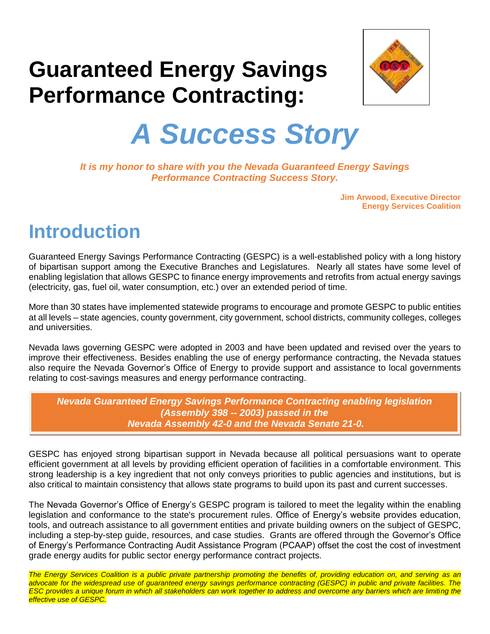# **Guaranteed Energy Savings Performance Contracting:**



# *A Success Story*

*It is my honor to share with you the Nevada Guaranteed Energy Savings Performance Contracting Success Story.*

> **Jim Arwood, Executive Director Energy Services Coalition**

#### **Introduction**

Guaranteed Energy Savings Performance Contracting (GESPC) is a well-established policy with a long history of bipartisan support among the Executive Branches and Legislatures. Nearly all states have some level of enabling legislation that allows GESPC to finance energy improvements and retrofits from actual energy savings (electricity, gas, fuel oil, water consumption, etc.) over an extended period of time.

More than 30 states have implemented statewide programs to encourage and promote GESPC to public entities at all levels – state agencies, county government, city government, school districts, community colleges, colleges and universities.

Nevada laws governing GESPC were adopted in 2003 and have been updated and revised over the years to improve their effectiveness. Besides enabling the use of energy performance contracting, the Nevada statues also require the Nevada Governor's Office of Energy to provide support and assistance to local governments relating to cost-savings measures and energy performance contracting.

*Nevada Guaranteed Energy Savings Performance Contracting enabling legislation (Assembly 398 -- 2003) passed in the Nevada Assembly 42-0 and the Nevada Senate 21-0.*

GESPC has enjoyed strong bipartisan support in Nevada because all political persuasions want to operate efficient government at all levels by providing efficient operation of facilities in a comfortable environment. This strong leadership is a key ingredient that not only conveys priorities to public agencies and institutions, but is also critical to maintain consistency that allows state programs to build upon its past and current successes.

The Nevada Governor's Office of Energy's GESPC program is tailored to meet the legality within the enabling legislation and conformance to the state's procurement rules. Office of Energy's website provides education, tools, and outreach assistance to all government entities and private building owners on the subject of GESPC, including a step-by-step guide, resources, and case studies. Grants are offered through the Governor's Office of Energy's Performance Contracting Audit Assistance Program (PCAAP) offset the cost the cost of investment grade energy audits for public sector energy performance contract projects.

*The Energy Services Coalition is a public private partnership promoting the benefits of, providing education on, and serving as an advocate for the widespread use of guaranteed energy savings performance contracting (GESPC) in public and private facilities. The ESC provides a unique forum in which all stakeholders can work together to address and overcome any barriers which are limiting the effective use of GESPC.*